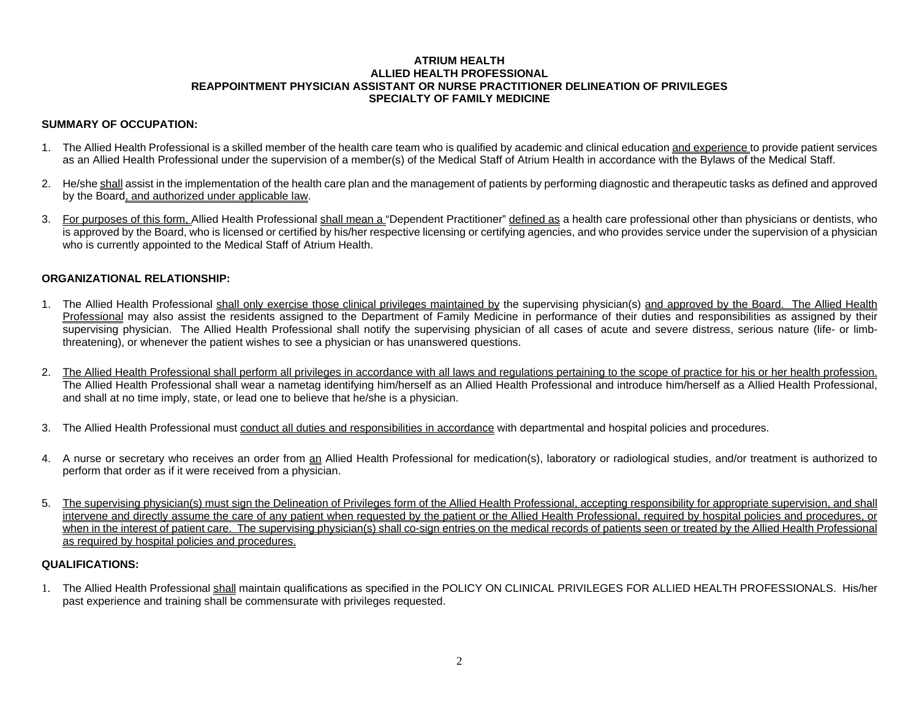#### **ATRIUM HEALTH ALLIED HEALTH PROFESSIONAL REAPPOINTMENT PHYSICIAN ASSISTANT OR NURSE PRACTITIONER DELINEATION OF PRIVILEGES SPECIALTY OF FAMILY MEDICINE**

### **SUMMARY OF OCCUPATION:**

- 1. The Allied Health Professional is a skilled member of the health care team who is qualified by academic and clinical education and experience to provide patient services as an Allied Health Professional under the supervision of a member(s) of the Medical Staff of Atrium Health in accordance with the Bylaws of the Medical Staff.
- 2. He/she shall assist in the implementation of the health care plan and the management of patients by performing diagnostic and therapeutic tasks as defined and approved by the Board, and authorized under applicable law.
- 3. For purposes of this form, Allied Health Professional shall mean a "Dependent Practitioner" defined as a health care professional other than physicians or dentists, who is approved by the Board, who is licensed or certified by his/her respective licensing or certifying agencies, and who provides service under the supervision of a physician who is currently appointed to the Medical Staff of Atrium Health.

#### **ORGANIZATIONAL RELATIONSHIP:**

- 1. The Allied Health Professional shall only exercise those clinical privileges maintained by the supervising physician(s) and approved by the Board. The Allied Health Professional may also assist the residents assigned to the Department of Family Medicine in performance of their duties and responsibilities as assigned by their supervising physician. The Allied Health Professional shall notify the supervising physician of all cases of acute and severe distress, serious nature (life- or limbthreatening), or whenever the patient wishes to see a physician or has unanswered questions.
- 2. The Allied Health Professional shall perform all privileges in accordance with all laws and regulations pertaining to the scope of practice for his or her health profession. The Allied Health Professional shall wear a nametag identifying him/herself as an Allied Health Professional and introduce him/herself as a Allied Health Professional, and shall at no time imply, state, or lead one to believe that he/she is a physician.
- 3. The Allied Health Professional must conduct all duties and responsibilities in accordance with departmental and hospital policies and procedures.
- 4. A nurse or secretary who receives an order from an Allied Health Professional for medication(s), laboratory or radiological studies, and/or treatment is authorized to perform that order as if it were received from a physician.
- 5. The supervising physician(s) must sign the Delineation of Privileges form of the Allied Health Professional, accepting responsibility for appropriate supervision, and shall intervene and directly assume the care of any patient when requested by the patient or the Allied Health Professional, required by hospital policies and procedures, or when in the interest of patient care. The supervising physician(s) shall co-sign entries on the medical records of patients seen or treated by the Allied Health Professional as required by hospital policies and procedures.

#### **QUALIFICATIONS:**

1. The Allied Health Professional shall maintain qualifications as specified in the POLICY ON CLINICAL PRIVILEGES FOR ALLIED HEALTH PROFESSIONALS. His/her past experience and training shall be commensurate with privileges requested.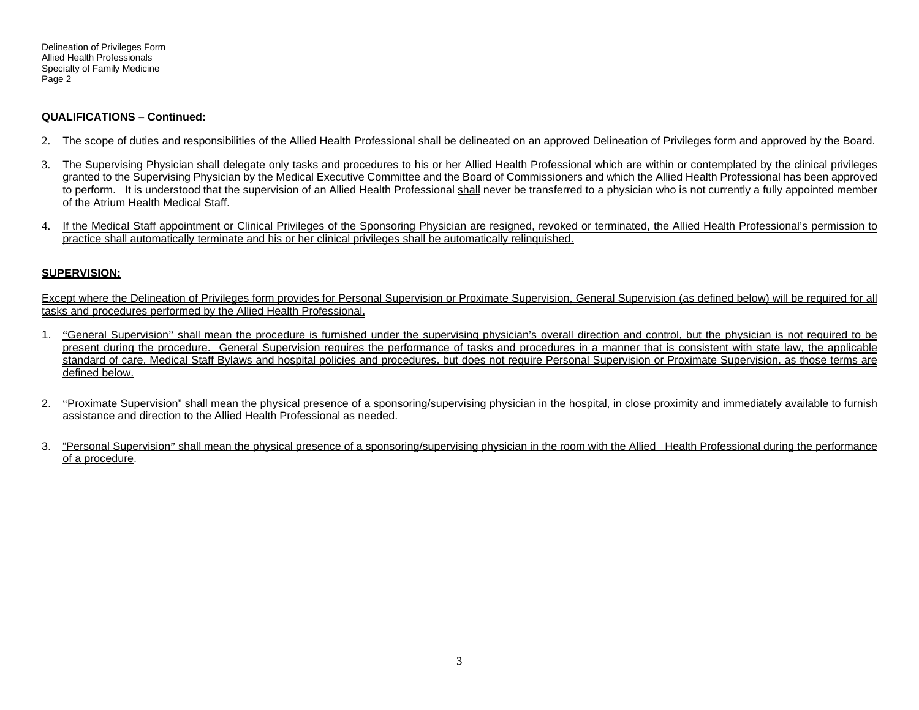Delineation of Privileges Form Allied Health Professionals Specialty of Family Medicine Page 2

#### **QUALIFICATIONS – Continued:**

- 2. The scope of duties and responsibilities of the Allied Health Professional shall be delineated on an approved Delineation of Privileges form and approved by the Board.
- 3. The Supervising Physician shall delegate only tasks and procedures to his or her Allied Health Professional which are within or contemplated by the clinical privileges granted to the Supervising Physician by the Medical Executive Committee and the Board of Commissioners and which the Allied Health Professional has been approved to perform. It is understood that the supervision of an Allied Health Professional shall never be transferred to a physician who is not currently a fully appointed member of the Atrium Health Medical Staff.
- 4. If the Medical Staff appointment or Clinical Privileges of the Sponsoring Physician are resigned, revoked or terminated, the Allied Health Professional's permission to practice shall automatically terminate and his or her clinical privileges shall be automatically relinquished.

### **SUPERVISION:**

Except where the Delineation of Privileges form provides for Personal Supervision or Proximate Supervision, General Supervision (as defined below) will be required for all tasks and procedures performed by the Allied Health Professional.

- 1. "General Supervision" shall mean the procedure is furnished under the supervising physician's overall direction and control, but the physician is not required to be present during the procedure. General Supervision requires the performance of tasks and procedures in a manner that is consistent with state law, the applicable standard of care, Medical Staff Bylaws and hospital policies and procedures, but does not require Personal Supervision or Proximate Supervision, as those terms are defined below.
- 2. "Proximate Supervision" shall mean the physical presence of a sponsoring/supervising physician in the hospital, in close proximity and immediately available to furnish assistance and direction to the Allied Health Professional as needed.
- 3. "Personal Supervision" shall mean the physical presence of a sponsoring/supervising physician in the room with the Allied Health Professional during the performance of a procedure.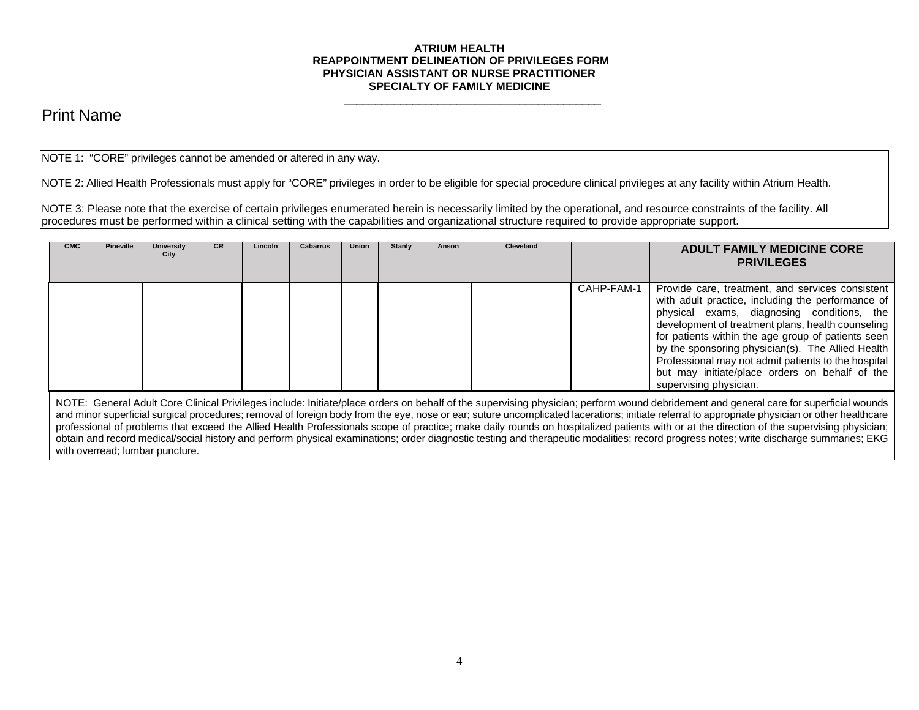#### **ATRIUM HEALTH REAPPOINTMENT DELINEATION OF PRIVILEGES FORM PHYSICIAN ASSISTANT OR NURSE PRACTITIONER SPECIALTY OF FAMILY MEDICINE**

# Print Name

NOTE 1: "CORE" privileges cannot be amended or altered in any way.

 $\overline{\phantom{a}}$  , and the contract of the contract of the contract of the contract of the contract of the contract of the contract of the contract of the contract of the contract of the contract of the contract of the contrac

NOTE 2: Allied Health Professionals must apply for "CORE" privileges in order to be eligible for special procedure clinical privileges at any facility within Atrium Health.

NOTE 3: Please note that the exercise of certain privileges enumerated herein is necessarily limited by the operational, and resource constraints of the facility. All procedures must be performed within a clinical setting with the capabilities and organizational structure required to provide appropriate support.

| <b>CMC</b> | <b>Pineville</b> | University<br>City | <b>CR</b> | Lincoln | <b>Cabarrus</b> | <b>Union</b> | Stanly | Anson | Cleveland |            | <b>ADULT FAMILY MEDICINE CORE</b><br><b>PRIVILEGES</b>                                                                                                                                                                                                                                                                                                                                                                                                 |
|------------|------------------|--------------------|-----------|---------|-----------------|--------------|--------|-------|-----------|------------|--------------------------------------------------------------------------------------------------------------------------------------------------------------------------------------------------------------------------------------------------------------------------------------------------------------------------------------------------------------------------------------------------------------------------------------------------------|
|            |                  |                    |           |         |                 |              |        |       |           | CAHP-FAM-1 | Provide care, treatment, and services consistent<br>with adult practice, including the performance of<br>physical exams, diagnosing conditions, the<br>development of treatment plans, health counseling<br>for patients within the age group of patients seen<br>by the sponsoring physician(s). The Allied Health<br>Professional may not admit patients to the hospital<br>but may initiate/place orders on behalf of the<br>supervising physician. |

NOTE: General Adult Core Clinical Privileges include: Initiate/place orders on behalf of the supervising physician; perform wound debridement and general care for superficial wounds and minor superficial surgical procedures; removal of foreign body from the eye, nose or ear; suture uncomplicated lacerations; initiate referral to appropriate physician or other healthcare professional of problems that exceed the Allied Health Professionals scope of practice; make daily rounds on hospitalized patients with or at the direction of the supervising physician; obtain and record medical/social history and perform physical examinations; order diagnostic testing and therapeutic modalities; record progress notes; write discharge summaries; EKG with overread; lumbar puncture.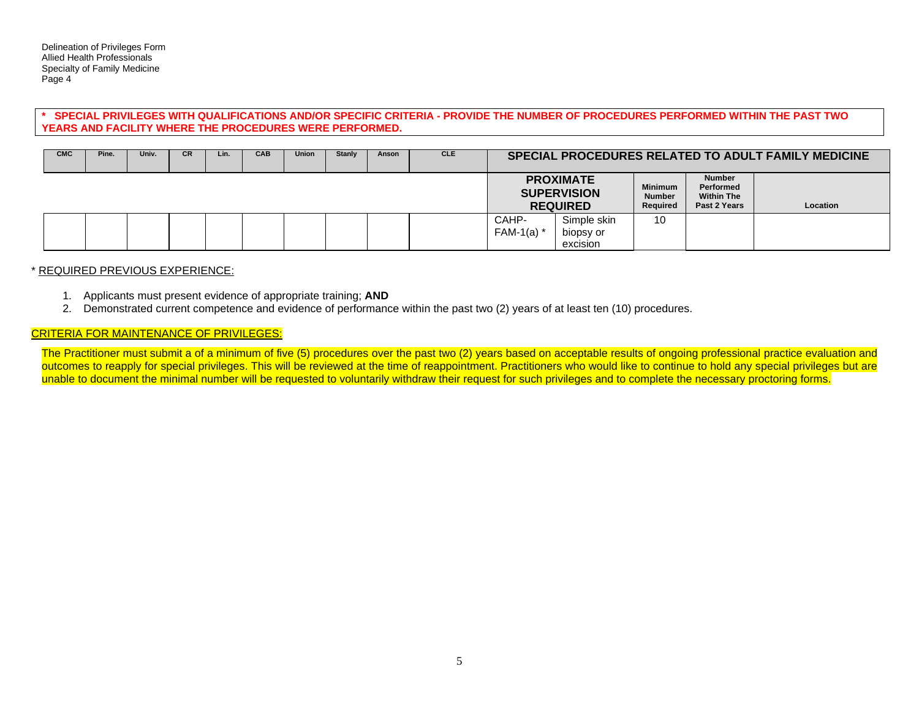#### **\* SPECIAL PRIVILEGES WITH QUALIFICATIONS AND/OR SPECIFIC CRITERIA - PROVIDE THE NUMBER OF PROCEDURES PERFORMED WITHIN THE PAST TWO YEARS AND FACILITY WHERE THE PROCEDURES WERE PERFORMED.**

| <b>CMC</b> | Pine. | Univ. | <b>CR</b> | Lin. | CAB | <b>Union</b> | Stanly | Anson | <b>CLE</b> | SPECIAL PROCEDURES RELATED TO ADULT FAMILY MEDICINE |                                                           |                                             |                                                                 |          |
|------------|-------|-------|-----------|------|-----|--------------|--------|-------|------------|-----------------------------------------------------|-----------------------------------------------------------|---------------------------------------------|-----------------------------------------------------------------|----------|
|            |       |       |           |      |     |              |        |       |            |                                                     | <b>PROXIMATE</b><br><b>SUPERVISION</b><br><b>REQUIRED</b> | <b>Minimum</b><br><b>Number</b><br>Required | <b>Number</b><br>Performed<br><b>Within The</b><br>Past 2 Years | Location |
|            |       |       |           |      |     |              |        |       |            | CAHP-<br>FAM-1(a) $*$                               | Simple skin<br>biopsy or<br>excision                      | 10                                          |                                                                 |          |

#### \* REQUIRED PREVIOUS EXPERIENCE:

- 1. Applicants must present evidence of appropriate training; **AND**
- 2. Demonstrated current competence and evidence of performance within the past two (2) years of at least ten (10) procedures.

## CRITERIA FOR MAINTENANCE OF PRIVILEGES:

The Practitioner must submit a of a minimum of five (5) procedures over the past two (2) years based on acceptable results of ongoing professional practice evaluation and outcomes to reapply for special privileges. This will be reviewed at the time of reappointment. Practitioners who would like to continue to hold any special privileges but are unable to document the minimal number will be requested to voluntarily withdraw their request for such privileges and to complete the necessary proctoring forms.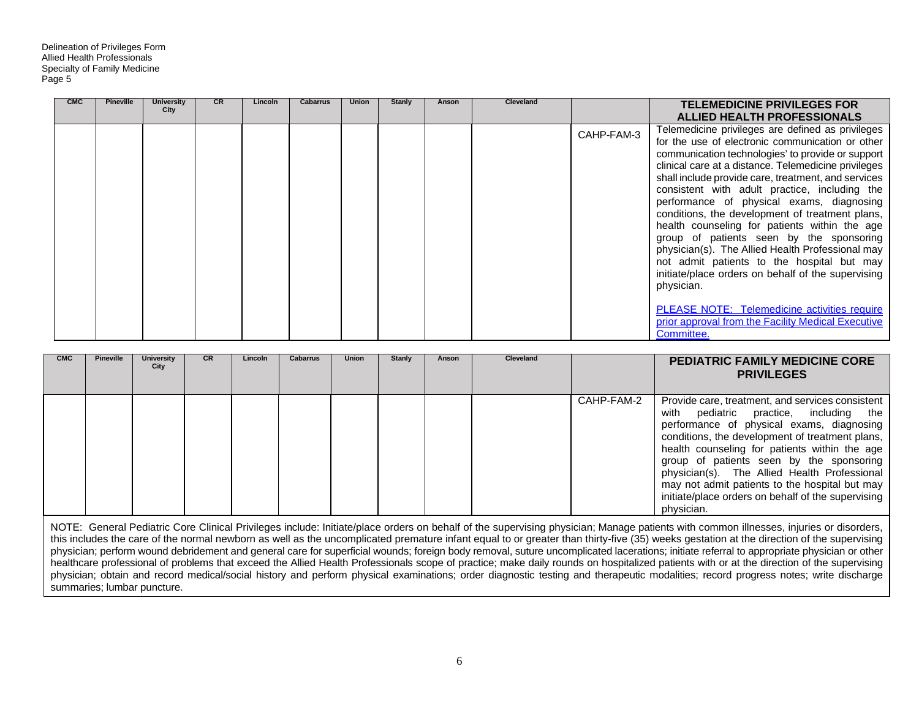| <b>CMC</b> | Pineville | <b>University</b><br>City | <b>CR</b> | Lincoln | <b>Cabarrus</b> | <b>Union</b> | <b>Stanly</b> | Anson | Cleveland |            | <b>TELEMEDICINE PRIVILEGES FOR</b><br><b>ALLIED HEALTH PROFESSIONALS</b>                                                                                                                                                                                                                                                                                                                                                                                                                                                                                                                                                                                                                                                                                                                                                 |
|------------|-----------|---------------------------|-----------|---------|-----------------|--------------|---------------|-------|-----------|------------|--------------------------------------------------------------------------------------------------------------------------------------------------------------------------------------------------------------------------------------------------------------------------------------------------------------------------------------------------------------------------------------------------------------------------------------------------------------------------------------------------------------------------------------------------------------------------------------------------------------------------------------------------------------------------------------------------------------------------------------------------------------------------------------------------------------------------|
|            |           |                           |           |         |                 |              |               |       |           | CAHP-FAM-3 | Telemedicine privileges are defined as privileges<br>for the use of electronic communication or other<br>communication technologies' to provide or support<br>clinical care at a distance. Telemedicine privileges<br>shall include provide care, treatment, and services<br>consistent with adult practice, including the<br>performance of physical exams, diagnosing<br>conditions, the development of treatment plans,<br>health counseling for patients within the age<br>group of patients seen by the sponsoring<br>physician(s). The Allied Health Professional may<br>not admit patients to the hospital but may<br>initiate/place orders on behalf of the supervising<br>physician.<br><b>PLEASE NOTE: Telemedicine activities require</b><br>prior approval from the Facility Medical Executive<br>Committee. |

| <b>CMC</b> | <b>Pineville</b> | <b>University</b><br>City | <b>CR</b> | Lincoln | <b>Cabarrus</b> | <b>Union</b> | <b>Stanly</b> | Anson | Cleveland |            | <b>PEDIATRIC FAMILY MEDICINE CORE</b><br><b>PRIVILEGES</b>                                                                                                                                                                                                                                                                                                                                                                                                       |
|------------|------------------|---------------------------|-----------|---------|-----------------|--------------|---------------|-------|-----------|------------|------------------------------------------------------------------------------------------------------------------------------------------------------------------------------------------------------------------------------------------------------------------------------------------------------------------------------------------------------------------------------------------------------------------------------------------------------------------|
|            |                  |                           |           |         |                 |              |               |       |           | CAHP-FAM-2 | Provide care, treatment, and services consistent<br>pediatric practice, including the<br>with<br>performance of physical exams, diagnosing<br>conditions, the development of treatment plans,<br>health counseling for patients within the age<br>group of patients seen by the sponsoring<br>physician(s). The Allied Health Professional<br>may not admit patients to the hospital but may<br>initiate/place orders on behalf of the supervising<br>physician. |

NOTE: General Pediatric Core Clinical Privileges include: Initiate/place orders on behalf of the supervising physician; Manage patients with common illnesses, injuries or disorders, this includes the care of the normal newborn as well as the uncomplicated premature infant equal to or greater than thirty-five (35) weeks gestation at the direction of the supervising physician; perform wound debridement and general care for superficial wounds; foreign body removal, suture uncomplicated lacerations; initiate referral to appropriate physician or other healthcare professional of problems that exceed the Allied Health Professionals scope of practice; make daily rounds on hospitalized patients with or at the direction of the supervising physician; obtain and record medical/social history and perform physical examinations; order diagnostic testing and therapeutic modalities; record progress notes; write discharge summaries; lumbar puncture.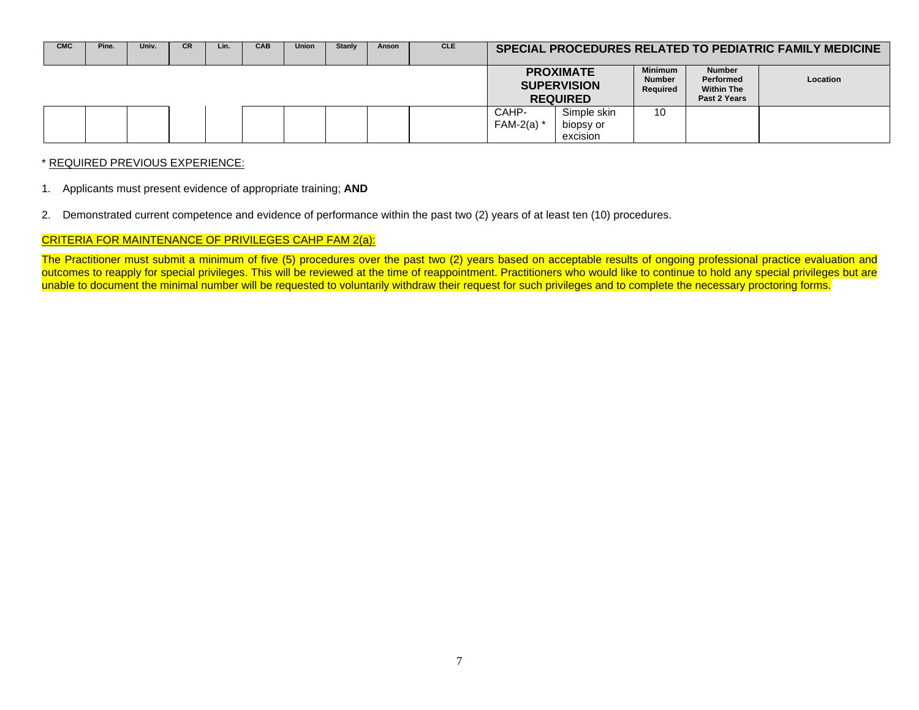| <b>CMC</b> | Pine. | Univ. | <b>CR</b> | Lin. | <b>CAB</b> | <b>Union</b> | Stanly | Anson | <b>CLE</b> | SPECIAL PROCEDURES RELATED TO PEDIATRIC FAMILY MEDICINE |                                                           |                                             |                                                                        |                 |
|------------|-------|-------|-----------|------|------------|--------------|--------|-------|------------|---------------------------------------------------------|-----------------------------------------------------------|---------------------------------------------|------------------------------------------------------------------------|-----------------|
|            |       |       |           |      |            |              |        |       |            |                                                         | <b>PROXIMATE</b><br><b>SUPERVISION</b><br><b>REQUIRED</b> | <b>Minimum</b><br><b>Number</b><br>Required | <b>Number</b><br><b>Performed</b><br><b>Within The</b><br>Past 2 Years | <b>Location</b> |
|            |       |       |           |      |            |              |        |       |            | CAHP-<br>FAM-2(a) $*$                                   | Simple skin<br>biopsy or<br>excision                      | 10                                          |                                                                        |                 |

#### \* REQUIRED PREVIOUS EXPERIENCE:

- 1. Applicants must present evidence of appropriate training; **AND**
- 2. Demonstrated current competence and evidence of performance within the past two (2) years of at least ten (10) procedures.

# CRITERIA FOR MAINTENANCE OF PRIVILEGES CAHP FAM 2(a):

The Practitioner must submit a minimum of five (5) procedures over the past two (2) years based on acceptable results of ongoing professional practice evaluation and outcomes to reapply for special privileges. This will be reviewed at the time of reappointment. Practitioners who would like to continue to hold any special privileges but are unable to document the minimal number will be requested to voluntarily withdraw their request for such privileges and to complete the necessary proctoring forms.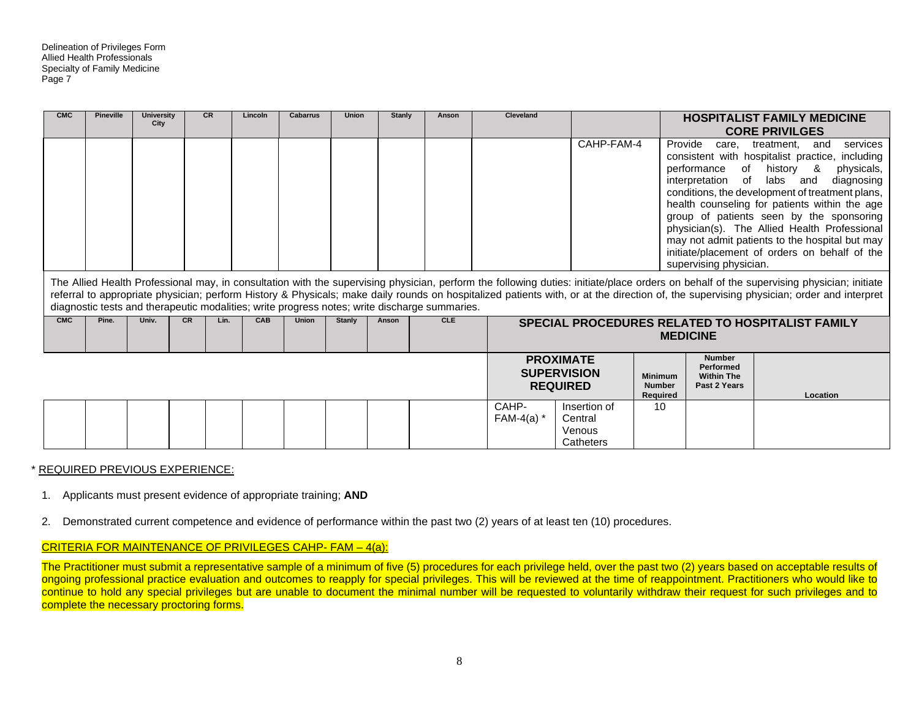| <b>CMC</b>                                                                                                                                                                                                                                                                                                                                                                                                                                                                                             | <b>Pineville</b> | <b>University</b><br>City |           | <b>CR</b> | Lincoln | <b>Cabarrus</b> | <b>Union</b>  | <b>Stanly</b>                        | Anson                                                                                         | <b>Cleveland</b>                                                           |                                                           |                                             |                                                                 | <b>HOSPITALIST FAMILY MEDICINE</b><br><b>CORE PRIVILGES</b>                                                                                                                                                                                                                                                                                                                         |
|--------------------------------------------------------------------------------------------------------------------------------------------------------------------------------------------------------------------------------------------------------------------------------------------------------------------------------------------------------------------------------------------------------------------------------------------------------------------------------------------------------|------------------|---------------------------|-----------|-----------|---------|-----------------|---------------|--------------------------------------|-----------------------------------------------------------------------------------------------|----------------------------------------------------------------------------|-----------------------------------------------------------|---------------------------------------------|-----------------------------------------------------------------|-------------------------------------------------------------------------------------------------------------------------------------------------------------------------------------------------------------------------------------------------------------------------------------------------------------------------------------------------------------------------------------|
| CAHP-FAM-4<br>Provide<br>care,<br>and<br>treatment.<br>consistent with hospitalist practice, including<br>performance<br>of<br>history &<br>interpretation of<br>labs and<br>conditions, the development of treatment plans,<br>health counseling for patients within the age<br>group of patients seen by the sponsoring<br>physician(s). The Allied Health Professional<br>may not admit patients to the hospital but may<br>initiate/placement of orders on behalf of the<br>supervising physician. |                  |                           |           |           |         |                 |               | services<br>physicals,<br>diagnosing |                                                                                               |                                                                            |                                                           |                                             |                                                                 |                                                                                                                                                                                                                                                                                                                                                                                     |
|                                                                                                                                                                                                                                                                                                                                                                                                                                                                                                        |                  |                           |           |           |         |                 |               |                                      | diagnostic tests and therapeutic modalities; write progress notes; write discharge summaries. |                                                                            |                                                           |                                             |                                                                 | The Allied Health Professional may, in consultation with the supervising physician, perform the following duties: initiate/place orders on behalf of the supervising physician; initiate<br>referral to appropriate physician; perform History & Physicals; make daily rounds on hospitalized patients with, or at the direction of, the supervising physician; order and interpret |
| <b>CMC</b>                                                                                                                                                                                                                                                                                                                                                                                                                                                                                             | Pine.            | Univ.                     | <b>CR</b> | Lin.      | CAB     | <b>Union</b>    | <b>Stanly</b> | Anson                                | <b>CLE</b>                                                                                    | <b>SPECIAL PROCEDURES RELATED TO HOSPITALIST FAMILY</b><br><b>MEDICINE</b> |                                                           |                                             |                                                                 |                                                                                                                                                                                                                                                                                                                                                                                     |
|                                                                                                                                                                                                                                                                                                                                                                                                                                                                                                        |                  |                           |           |           |         |                 |               |                                      |                                                                                               |                                                                            | <b>PROXIMATE</b><br><b>SUPERVISION</b><br><b>REQUIRED</b> | <b>Minimum</b><br><b>Number</b><br>Required | <b>Number</b><br>Performed<br><b>Within The</b><br>Past 2 Years | Location                                                                                                                                                                                                                                                                                                                                                                            |
|                                                                                                                                                                                                                                                                                                                                                                                                                                                                                                        |                  |                           |           |           |         |                 |               |                                      |                                                                                               | CAHP-<br>FAM-4(a) $*$                                                      | Insertion of<br>Central<br>Venous                         | 10                                          |                                                                 |                                                                                                                                                                                                                                                                                                                                                                                     |

#### \* REQUIRED PREVIOUS EXPERIENCE:

- 1. Applicants must present evidence of appropriate training; **AND**
- 2. Demonstrated current competence and evidence of performance within the past two (2) years of at least ten (10) procedures.

## CRITERIA FOR MAINTENANCE OF PRIVILEGES CAHP- FAM – 4(a):

The Practitioner must submit a representative sample of a minimum of five (5) procedures for each privilege held, over the past two (2) years based on acceptable results of ongoing professional practice evaluation and outcomes to reapply for special privileges. This will be reviewed at the time of reappointment. Practitioners who would like to continue to hold any special privileges but are unable to document the minimal number will be requested to voluntarily withdraw their request for such privileges and to complete the necessary proctoring forms.

Catheters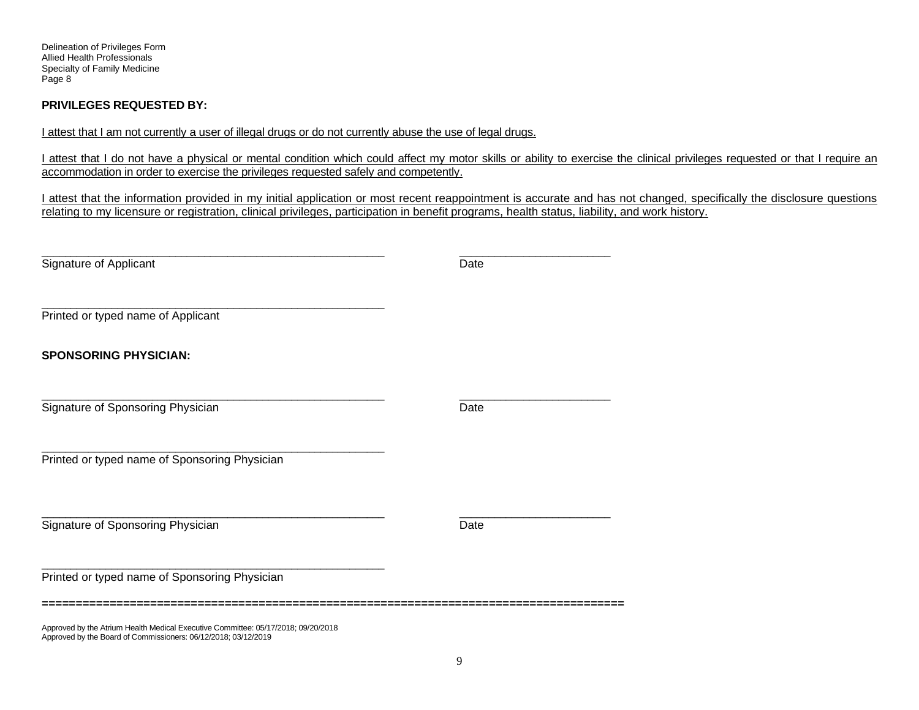Delineation of Privileges Form Allied Health Professionals Specialty of Family Medicine Page 8

# **PRIVILEGES REQUESTED BY:**

I attest that I am not currently a user of illegal drugs or do not currently abuse the use of legal drugs.

I attest that I do not have a physical or mental condition which could affect my motor skills or ability to exercise the clinical privileges requested or that I require an accommodation in order to exercise the privileges requested safely and competently.

I attest that the information provided in my initial application or most recent reappointment is accurate and has not changed, specifically the disclosure questions relating to my licensure or registration, clinical privileges, participation in benefit programs, health status, liability, and work history.

| Signature of Applicant                                                            | Date |
|-----------------------------------------------------------------------------------|------|
| Printed or typed name of Applicant                                                |      |
| <b>SPONSORING PHYSICIAN:</b>                                                      |      |
| Signature of Sponsoring Physician                                                 | Date |
| Printed or typed name of Sponsoring Physician                                     |      |
| Signature of Sponsoring Physician                                                 | Date |
| Printed or typed name of Sponsoring Physician                                     |      |
| Approved by the Atrium Health Medical Executive Committee: 05/17/2018; 09/20/2018 |      |